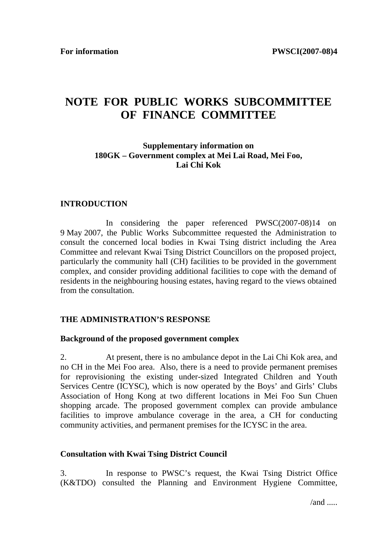# **NOTE FOR PUBLIC WORKS SUBCOMMITTEE OF FINANCE COMMITTEE**

# **Supplementary information on 180GK – Government complex at Mei Lai Road, Mei Foo, Lai Chi Kok**

#### **INTRODUCTION**

 In considering the paper referenced PWSC(2007-08)14 on 9 May 2007, the Public Works Subcommittee requested the Administration to consult the concerned local bodies in Kwai Tsing district including the Area Committee and relevant Kwai Tsing District Councillors on the proposed project, particularly the community hall (CH) facilities to be provided in the government complex, and consider providing additional facilities to cope with the demand of residents in the neighbouring housing estates, having regard to the views obtained from the consultation.

# **THE ADMINISTRATION'S RESPONSE**

#### **Background of the proposed government complex**

2. At present, there is no ambulance depot in the Lai Chi Kok area, and no CH in the Mei Foo area. Also, there is a need to provide permanent premises for reprovisioning the existing under-sized Integrated Children and Youth Services Centre (ICYSC), which is now operated by the Boys' and Girls' Clubs Association of Hong Kong at two different locations in Mei Foo Sun Chuen shopping arcade. The proposed government complex can provide ambulance facilities to improve ambulance coverage in the area, a CH for conducting community activities, and permanent premises for the ICYSC in the area.

#### **Consultation with Kwai Tsing District Council**

3. In response to PWSC's request, the Kwai Tsing District Office (K&TDO) consulted the Planning and Environment Hygiene Committee,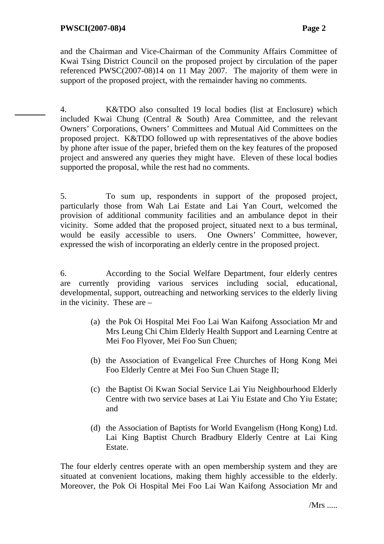and the Chairman and Vice-Chairman of the Community Affairs Committee of Kwai Tsing District Council on the proposed project by circulation of the paper referenced PWSC(2007-08)14 on 11 May 2007. The majority of them were in support of the proposed project, with the remainder having no comments.

4. K&TDO also consulted 19 local bodies (list at Enclosure) which included Kwai Chung (Central & South) Area Committee, and the relevant Owners' Corporations, Owners' Committees and Mutual Aid Committees on the proposed project. K&TDO followed up with representatives of the above bodies by phone after issue of the paper, briefed them on the key features of the proposed project and answered any queries they might have. Eleven of these local bodies supported the proposal, while the rest had no comments.

5. To sum up, respondents in support of the proposed project, particularly those from Wah Lai Estate and Lai Yan Court, welcomed the provision of additional community facilities and an ambulance depot in their vicinity. Some added that the proposed project, situated next to a bus terminal, would be easily accessible to users. One Owners' Committee, however, expressed the wish of incorporating an elderly centre in the proposed project.

6. According to the Social Welfare Department, four elderly centres are currently providing various services including social, educational, developmental, support, outreaching and networking services to the elderly living in the vicinity. These are –

- (a) the Pok Oi Hospital Mei Foo Lai Wan Kaifong Association Mr and Mrs Leung Chi Chim Elderly Health Support and Learning Centre at Mei Foo Flyover, Mei Foo Sun Chuen;
- (b) the Association of Evangelical Free Churches of Hong Kong Mei Foo Elderly Centre at Mei Foo Sun Chuen Stage II;
- (c) the Baptist Oi Kwan Social Service Lai Yiu Neighbourhood Elderly Centre with two service bases at Lai Yiu Estate and Cho Yiu Estate; and
- (d) the Association of Baptists for World Evangelism (Hong Kong) Ltd. Lai King Baptist Church Bradbury Elderly Centre at Lai King Estate.

The four elderly centres operate with an open membership system and they are situated at convenient locations, making them highly accessible to the elderly. Moreover, the Pok Oi Hospital Mei Foo Lai Wan Kaifong Association Mr and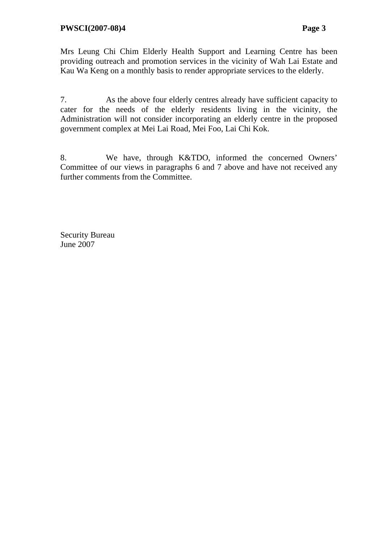Mrs Leung Chi Chim Elderly Health Support and Learning Centre has been providing outreach and promotion services in the vicinity of Wah Lai Estate and Kau Wa Keng on a monthly basis to render appropriate services to the elderly.

7. As the above four elderly centres already have sufficient capacity to cater for the needs of the elderly residents living in the vicinity, the Administration will not consider incorporating an elderly centre in the proposed government complex at Mei Lai Road, Mei Foo, Lai Chi Kok.

8. We have, through K&TDO, informed the concerned Owners' Committee of our views in paragraphs 6 and 7 above and have not received any further comments from the Committee.

Security Bureau June 2007